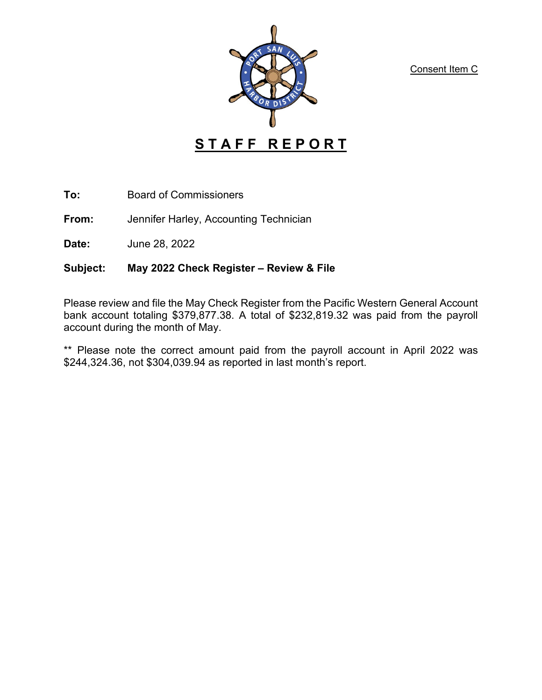Consent Item C



**To:** Board of Commissioners

**From:** Jennifer Harley, Accounting Technician

**Date:** June 28, 2022

## **Subject: May 2022 Check Register – Review & File**

Please review and file the May Check Register from the Pacific Western General Account bank account totaling \$379,877.38. A total of \$232,819.32 was paid from the payroll account during the month of May.

\*\* Please note the correct amount paid from the payroll account in April 2022 was \$244,324.36, not \$304,039.94 as reported in last month's report.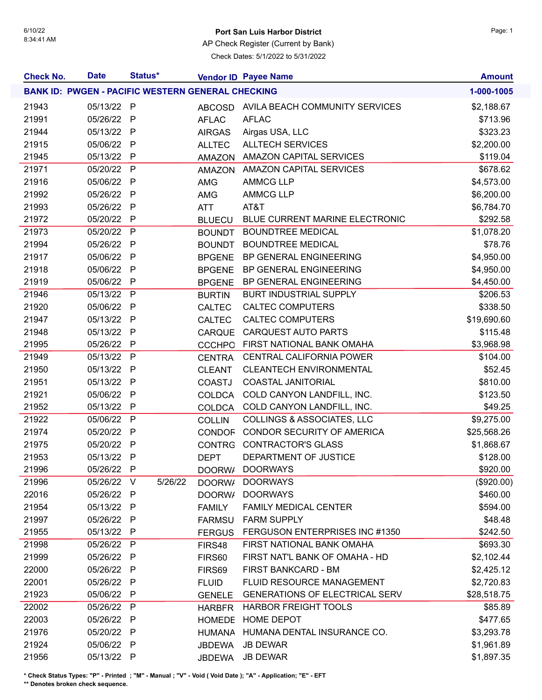## 6/10/22 **Port San Luis Harbor District** Page: 1

AP Check Register (Current by Bank)

Check Dates: 5/1/2022 to 5/31/2022

| <b>Check No.</b> | <b>Date</b>                                              | Status* |         |               | <b>Vendor ID Payee Name</b>           | <b>Amount</b> |
|------------------|----------------------------------------------------------|---------|---------|---------------|---------------------------------------|---------------|
|                  | <b>BANK ID: PWGEN - PACIFIC WESTERN GENERAL CHECKING</b> |         |         |               |                                       | 1-000-1005    |
| 21943            | 05/13/22 P                                               |         |         | <b>ABCOSD</b> | AVILA BEACH COMMUNITY SERVICES        | \$2,188.67    |
| 21991            | 05/26/22 P                                               |         |         | <b>AFLAC</b>  | <b>AFLAC</b>                          | \$713.96      |
| 21944            | 05/13/22 P                                               |         |         | <b>AIRGAS</b> | Airgas USA, LLC                       | \$323.23      |
| 21915            | 05/06/22 P                                               |         |         | <b>ALLTEC</b> | <b>ALLTECH SERVICES</b>               | \$2,200.00    |
| 21945            | 05/13/22 P                                               |         |         | AMAZON        | <b>AMAZON CAPITAL SERVICES</b>        | \$119.04      |
| 21971            | 05/20/22 P                                               |         |         | AMAZON        | <b>AMAZON CAPITAL SERVICES</b>        | \$678.62      |
| 21916            | 05/06/22 P                                               |         |         | AMG           | <b>AMMCG LLP</b>                      | \$4,573.00    |
| 21992            | 05/26/22 P                                               |         |         | AMG           | <b>AMMCG LLP</b>                      | \$6,200.00    |
| 21993            | 05/26/22 P                                               |         |         | <b>ATT</b>    | AT&T                                  | \$6,784.70    |
| 21972            | 05/20/22 P                                               |         |         | <b>BLUECU</b> | BLUE CURRENT MARINE ELECTRONIC        | \$292.58      |
| 21973            | 05/20/22 P                                               |         |         | <b>BOUNDT</b> | <b>BOUNDTREE MEDICAL</b>              | \$1,078.20    |
| 21994            | 05/26/22 P                                               |         |         | <b>BOUNDT</b> | <b>BOUNDTREE MEDICAL</b>              | \$78.76       |
| 21917            | 05/06/22 P                                               |         |         | <b>BPGENE</b> | BP GENERAL ENGINEERING                | \$4,950.00    |
| 21918            | 05/06/22 P                                               |         |         | <b>BPGENE</b> | BP GENERAL ENGINEERING                | \$4,950.00    |
| 21919            | 05/06/22 P                                               |         |         | <b>BPGENE</b> | BP GENERAL ENGINEERING                | \$4,450.00    |
| 21946            | 05/13/22 P                                               |         |         | <b>BURTIN</b> | <b>BURT INDUSTRIAL SUPPLY</b>         | \$206.53      |
| 21920            | 05/06/22 P                                               |         |         | <b>CALTEC</b> | <b>CALTEC COMPUTERS</b>               | \$338.50      |
| 21947            | 05/13/22 P                                               |         |         | <b>CALTEC</b> | <b>CALTEC COMPUTERS</b>               | \$19,690.60   |
| 21948            | 05/13/22 P                                               |         |         | <b>CARQUE</b> | <b>CARQUEST AUTO PARTS</b>            | \$115.48      |
| 21995            | 05/26/22 P                                               |         |         | <b>CCCHPO</b> | FIRST NATIONAL BANK OMAHA             | \$3,968.98    |
| 21949            | 05/13/22 P                                               |         |         | <b>CENTRA</b> | <b>CENTRAL CALIFORNIA POWER</b>       | \$104.00      |
| 21950            | 05/13/22 P                                               |         |         | <b>CLEANT</b> | <b>CLEANTECH ENVIRONMENTAL</b>        | \$52.45       |
| 21951            | 05/13/22 P                                               |         |         | <b>COASTJ</b> | <b>COASTAL JANITORIAL</b>             | \$810.00      |
| 21921            | 05/06/22 P                                               |         |         | <b>COLDCA</b> | COLD CANYON LANDFILL, INC.            | \$123.50      |
| 21952            | 05/13/22 P                                               |         |         | COLDCA        | COLD CANYON LANDFILL, INC.            | \$49.25       |
| 21922            | 05/06/22 P                                               |         |         | <b>COLLIN</b> | <b>COLLINGS &amp; ASSOCIATES, LLC</b> | \$9,275.00    |
| 21974            | 05/20/22 P                                               |         |         | <b>CONDOF</b> | <b>CONDOR SECURITY OF AMERICA</b>     | \$25,568.26   |
| 21975            | 05/20/22 P                                               |         |         | <b>CONTRG</b> | <b>CONTRACTOR'S GLASS</b>             | \$1,868.67    |
| 21953            | 05/13/22 P                                               |         |         | <b>DEPT</b>   | DEPARTMENT OF JUSTICE                 | \$128.00      |
| 21996            | 05/26/22 P                                               |         |         |               | DOORW/ DOORWAYS                       | \$920.00      |
| 21996            | 05/26/22 V                                               |         | 5/26/22 | DOORW/        | <b>DOORWAYS</b>                       | (\$920.00)    |
| 22016            | 05/26/22 P                                               |         |         | DOORW/        | <b>DOORWAYS</b>                       | \$460.00      |
| 21954            | 05/13/22 P                                               |         |         | <b>FAMILY</b> | <b>FAMILY MEDICAL CENTER</b>          | \$594.00      |
| 21997            | 05/26/22 P                                               |         |         | <b>FARMSU</b> | <b>FARM SUPPLY</b>                    | \$48.48       |
| 21955            | 05/13/22 P                                               |         |         | <b>FERGUS</b> | FERGUSON ENTERPRISES INC #1350        | \$242.50      |
| 21998            | 05/26/22 P                                               |         |         | FIRS48        | FIRST NATIONAL BANK OMAHA             | \$693.30      |
| 21999            | 05/26/22 P                                               |         |         | FIRS60        | FIRST NAT'L BANK OF OMAHA - HD        | \$2,102.44    |
| 22000            | 05/26/22 P                                               |         |         | FIRS69        | FIRST BANKCARD - BM                   | \$2,425.12    |
| 22001            | 05/26/22 P                                               |         |         | <b>FLUID</b>  | FLUID RESOURCE MANAGEMENT             | \$2,720.83    |
| 21923            | 05/06/22 P                                               |         |         | <b>GENELE</b> | <b>GENERATIONS OF ELECTRICAL SERV</b> | \$28,518.75   |
| 22002            | 05/26/22 P                                               |         |         | <b>HARBFR</b> | <b>HARBOR FREIGHT TOOLS</b>           | \$85.89       |
| 22003            | 05/26/22 P                                               |         |         | <b>HOMEDE</b> | <b>HOME DEPOT</b>                     | \$477.65      |
| 21976            | 05/20/22 P                                               |         |         | <b>HUMANA</b> | HUMANA DENTAL INSURANCE CO.           | \$3,293.78    |
| 21924            | 05/06/22 P                                               |         |         | <b>JBDEWA</b> | <b>JB DEWAR</b>                       | \$1,961.89    |
| 21956            | 05/13/22 P                                               |         |         | <b>JBDEWA</b> | <b>JB DEWAR</b>                       | \$1,897.35    |

**\* Check Status Types: "P" - Printed ; "M" - Manual ; "V" - Void ( Void Date ); "A" - Application; "E" - EFT**

**\*\* Denotes broken check sequence.**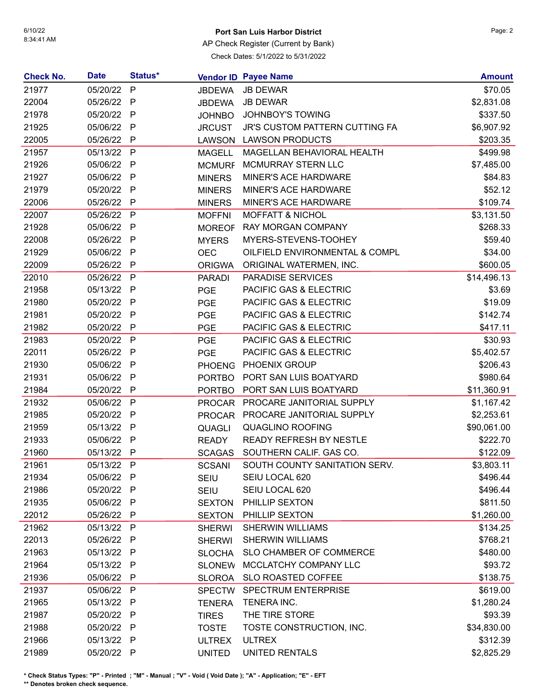## 6/10/22 **Port San Luis Harbor District** Page: 2

AP Check Register (Current by Bank)

Check Dates: 5/1/2022 to 5/31/2022

| <b>Check No.</b> | <b>Date</b> | Status*      |               | <b>Vendor ID Payee Name</b>           | <b>Amount</b> |
|------------------|-------------|--------------|---------------|---------------------------------------|---------------|
| 21977            | 05/20/22    | $\mathsf{P}$ | <b>JBDEWA</b> | <b>JB DEWAR</b>                       | \$70.05       |
| 22004            | 05/26/22 P  |              | <b>JBDEWA</b> | <b>JB DEWAR</b>                       | \$2,831.08    |
| 21978            | 05/20/22 P  |              | <b>JOHNBO</b> | <b>JOHNBOY'S TOWING</b>               | \$337.50      |
| 21925            | 05/06/22 P  |              | <b>JRCUST</b> | <b>JR'S CUSTOM PATTERN CUTTING FA</b> | \$6,907.92    |
| 22005            | 05/26/22    | P            | <b>LAWSON</b> | <b>LAWSON PRODUCTS</b>                | \$203.35      |
| 21957            | 05/13/22 P  |              | <b>MAGELL</b> | MAGELLAN BEHAVIORAL HEALTH            | \$499.98      |
| 21926            | 05/06/22 P  |              | <b>MCMURF</b> | <b>MCMURRAY STERN LLC</b>             | \$7,485.00    |
| 21927            | 05/06/22 P  |              | <b>MINERS</b> | MINER'S ACE HARDWARE                  | \$84.83       |
| 21979            | 05/20/22 P  |              | <b>MINERS</b> | MINER'S ACE HARDWARE                  | \$52.12       |
| 22006            | 05/26/22 P  |              | <b>MINERS</b> | MINER'S ACE HARDWARE                  | \$109.74      |
| 22007            | 05/26/22 P  |              | <b>MOFFNI</b> | <b>MOFFATT &amp; NICHOL</b>           | \$3,131.50    |
| 21928            | 05/06/22 P  |              | <b>MOREOF</b> | <b>RAY MORGAN COMPANY</b>             | \$268.33      |
| 22008            | 05/26/22 P  |              | <b>MYERS</b>  | MYERS-STEVENS-TOOHEY                  | \$59.40       |
| 21929            | 05/06/22    | P            | <b>OEC</b>    | OILFIELD ENVIRONMENTAL & COMPL        | \$34.00       |
| 22009            | 05/26/22 P  |              | <b>ORIGWA</b> | ORIGINAL WATERMEN, INC.               | \$600.05      |
| 22010            | 05/26/22 P  |              | <b>PARADI</b> | PARADISE SERVICES                     | \$14,496.13   |
| 21958            | 05/13/22 P  |              | <b>PGE</b>    | PACIFIC GAS & ELECTRIC                | \$3.69        |
| 21980            | 05/20/22 P  |              | <b>PGE</b>    | PACIFIC GAS & ELECTRIC                | \$19.09       |
| 21981            | 05/20/22 P  |              | <b>PGE</b>    | PACIFIC GAS & ELECTRIC                | \$142.74      |
| 21982            | 05/20/22 P  |              | <b>PGE</b>    | PACIFIC GAS & ELECTRIC                | \$417.11      |
| 21983            | 05/20/22 P  |              | <b>PGE</b>    | PACIFIC GAS & ELECTRIC                | \$30.93       |
| 22011            | 05/26/22 P  |              | <b>PGE</b>    | PACIFIC GAS & ELECTRIC                | \$5,402.57    |
| 21930            | 05/06/22 P  |              | <b>PHOENG</b> | PHOENIX GROUP                         | \$206.43      |
| 21931            | 05/06/22 P  |              | <b>PORTBO</b> | PORT SAN LUIS BOATYARD                | \$980.64      |
| 21984            | 05/20/22    | $\mathsf{P}$ | <b>PORTBO</b> | PORT SAN LUIS BOATYARD                | \$11,360.91   |
| 21932            | 05/06/22 P  |              | <b>PROCAR</b> | PROCARE JANITORIAL SUPPLY             | \$1,167.42    |
| 21985            | 05/20/22 P  |              | <b>PROCAR</b> | PROCARE JANITORIAL SUPPLY             | \$2,253.61    |
| 21959            | 05/13/22 P  |              | QUAGLI        | <b>QUAGLINO ROOFING</b>               | \$90,061.00   |
| 21933            | 05/06/22 P  |              | <b>READY</b>  | READY REFRESH BY NESTLE               | \$222.70      |
| 21960            | 05/13/22    | $\mathsf{P}$ | <b>SCAGAS</b> | SOUTHERN CALIF. GAS CO.               | \$122.09      |
| 21961            | 05/13/22 P  |              | <b>SCSANI</b> | SOUTH COUNTY SANITATION SERV.         | \$3,803.11    |
| 21934            | 05/06/22 P  |              | <b>SEIU</b>   | SEIU LOCAL 620                        | \$496.44      |
| 21986            | 05/20/22 P  |              | <b>SEIU</b>   | SEIU LOCAL 620                        | \$496.44      |
| 21935            | 05/06/22 P  |              | <b>SEXTON</b> | PHILLIP SEXTON                        | \$811.50      |
| 22012            | 05/26/22 P  |              | <b>SEXTON</b> | PHILLIP SEXTON                        | \$1,260.00    |
| 21962            | 05/13/22 P  |              | <b>SHERWI</b> | <b>SHERWIN WILLIAMS</b>               | \$134.25      |
| 22013            | 05/26/22 P  |              | <b>SHERWI</b> | <b>SHERWIN WILLIAMS</b>               | \$768.21      |
| 21963            | 05/13/22 P  |              | <b>SLOCHA</b> | SLO CHAMBER OF COMMERCE               | \$480.00      |
| 21964            | 05/13/22 P  |              | <b>SLONEW</b> | MCCLATCHY COMPANY LLC                 | \$93.72       |
| 21936            | 05/06/22 P  |              | SLOROA        | <b>SLO ROASTED COFFEE</b>             | \$138.75      |
| 21937            | 05/06/22 P  |              | <b>SPECTW</b> | <b>SPECTRUM ENTERPRISE</b>            | \$619.00      |
| 21965            | 05/13/22 P  |              | <b>TENERA</b> | TENERA INC.                           | \$1,280.24    |
| 21987            | 05/20/22 P  |              | <b>TIRES</b>  | THE TIRE STORE                        | \$93.39       |
| 21988            | 05/20/22 P  |              | <b>TOSTE</b>  | TOSTE CONSTRUCTION, INC.              | \$34,830.00   |
| 21966            | 05/13/22 P  |              | <b>ULTREX</b> | <b>ULTREX</b>                         | \$312.39      |
| 21989            | 05/20/22 P  |              | <b>UNITED</b> | UNITED RENTALS                        | \$2,825.29    |

**\* Check Status Types: "P" - Printed ; "M" - Manual ; "V" - Void ( Void Date ); "A" - Application; "E" - EFT**

**\*\* Denotes broken check sequence.**